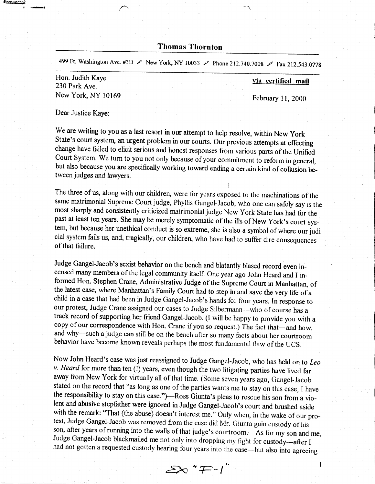Thomas Thornton

499 Ft. Washington Ave. #3D  $\swarrow$  New York, NY 10033  $\swarrow$  Phone 212.740.7008  $\swarrow$  Fax 212.543.0778

Hon. Judith Kaye 230 Park Ave. New York, NY 10169

**e**e een gewone

a

via certified mail

February 11, 2000

 $\mathbf{l}$ 

Dear Justice Kaye:

We are writing to you as a last resort in our attempt to help resolve, within New York State's court system, an urgent problem in our courts. Our previous attempts at effecting change have failed to elicit serious and honest responses from various parts of the Unified Court System. We turn to you not only because of your commitment to reform in general, but also because you are specifically working toward ending a certain kind of collusion between judges and lawyers.

The three of us, along with our children, were for years exposed to the machinations of the same matrimonial Supreme Court judge, Phyllis Gangel-Jacob, who one can safely say is the most sharply and consistently criticized matrimonial judge New York State has had for the past at least ten years. She may be merely symptomatic of the ills of New York's court system, but because her unethical conduct is so extreme, she is also a symbol of where our judicial system fails us, and, tragically, our children, who have had to suffer dire consequences of that failure.

l

Judge Gangel-Jacob's sexist behavior on the bench and blatantly biased record even incensed many members of the legal community itself. One year ago John Heard and I informed Hon. Stephen Crane, Administrative Judge of the child in a case that had been in Judge Gangel-Jacob's handi for four years. In response to our protest, Judge Crane assigned our cases to Judge Silbermann-who of course has a track record of supporting her friend Gangel-Jacob. (l will be happy to provide you with a copy of our correspondence with Hon. Crane if you so request.) The fact that-and how, and why-such a judge can still be on the bench after so many facts about her courtroom behavior have become known reveals perhaps the most fundamental flaw of the UCS.

Now John Heard's case was just reassigned to Judge Gangel-Jacob, who has held on to Leo v. Heard for more than ten (!) years, even though the two litigating parties have lived far away from New York for virtually all of that time. (Some seven years ago, Gangel-Jacob stated on the record that "as long as one of the parties wants me to stay on this case, Ihave the responsibility to stay on this case.")—Ross Giunta's pleas to rescue his son from a violent and abusive stepfather were ignored in Judge Gangei-Jacob's court and brushed aside with the remark: "That (the abuse) doesn't interest me." Only when, in the wake of our pro-<br>test, Judge Gangel-Jacob was removed from the case did Mr. Giunta gain custody of his<br>son, after years of running into the walls o Judge Gangel-Jacob blackmailed me not only into dropping my fight for custody--after I had not gotten a requested custody hearing four years into the case-but also into agreeing

 $\mathcal{L}^{\prime}$   $\mathcal{L}^{-1}$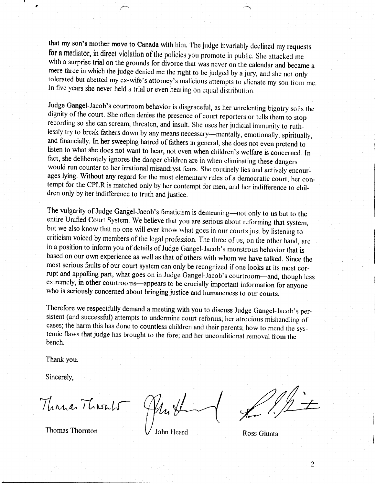that my son's mother move to Canada with him. The judge invariably declined my requests for a mediator, in direct violation of the policies you promote in public. She attacked me with a surprise trial on the grounds for divorce that was never on the calendar and became a mere farce in which the judge denied me the right to be judged by a jury, and she not only tolerated but abetted my ex-wife's attorney's malicious attempts to alienate my son from me. In five years she never held a trial or even hearing on equal distribution.

Judge Gangel-Jacob's courtroom behavior is disgraceful, as her unrelenting bigotry soils the dignity of the court. She often denies the presence of court reporters or tells them to stop recording so she can scream, threaten, and insult. She uses her judicial immunity to ruthlessly try to break fathers down by any means necessary---mentally, emotionally, spiritually, and financially. In her sweeping hatred of fathers in general, she does not even pretend to listen to what she does not want to hear, not even when children's welfare is concerned. In fact, she deliberately ignores the danger children are in when eliminating these dangers would run counter to her irrational misandryst fears. She routinely lies and actively encourages lying. Without any regard for the most elementary rules of a democratic court, her contempt for the CPLR is matched only by her contempt for men, and her indifference to children only by her indifference to truth and justice.

The vulgarity of Judge Gangel-Jacob's fanaticism is demeaning-not only to us but to the entire Unified Court System. We believe that you are serious about reforming that system, but we also know that no one will ever know what goes in our courts just by listening to criticism voiced by members of the legal profession. The three of us, on the other hand, are in a position to inform you of details of Judge Gangel-Jacob's monstrous behavior that is based on our own experience as wellas that of others with whom we have talked. Since the most serious faults of our court system can only be recognized if one looks at its most corrupt and appalling part, what goes on in Judge Gangel-Jacob's courtroom---and, though less extremely, in other courtrooms-appears to be crucially important information for anyone who is seriously concerned about bringing justice and humaneness to our courts.

Therefore we respectfully demand a meeting with you to discuss Judge Gangel-Jacob's persistent (and successful) attempts to undermine court reforms; her atrocious mishandling of cases; the harm this has done to countless children and their parents; how to mend the systemic flaws that judge has brought to the fore; and her unconditional removal from the bench.

Thank you.

Sincerely,

Thomas Thornton  $\bigvee$  John Heard Ross Giunta

 $\pi$   $\frac{1}{\pi}$  Thusals  $\frac{1}{\pi}$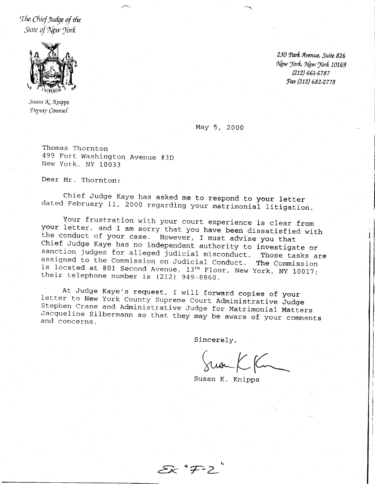The Chief Judge of the State of New York



Susan K. Knipps Deputy Counsel

230 Park Avenue, Suite 826 New York, New York 10169  $(212) 661 - 6787$ Fax (212) 682-2778

May 5, 2000

Thomas Thornton 499 Fort Washington Avenue #3D New York, NY 10033

Dear Mr. Thornton:

Chief Judge Kaye has asked me to respond to your letter dated February 11, 2000 regarding your matrimonial litigation.

Your frustration with your court experience is clear from your letter, and I am sorry that you have been dissatisfied with the conduct of your case. However, I must advise you that Chief Judge Kaye has no independent authority to investigate or sanction judges for alleged judicial misconduct. Those tasks are assigned to the Commission on Judicial Conduct. The Commission is located at 801 Second Avenue, 13th Floor, New York, NY 10017; their telephone number is (212) 949-8860.

At Judge Kaye's request, I will forward copies of your letter to New York County Supreme Court Administrative Judge Stephen Crane and Administrative Judge for Matrimonial Matters Jacqueline Silbermann so that they may be aware of your comments and concerns.

Sincerely,

Juan K Km

Susan K. Knipps

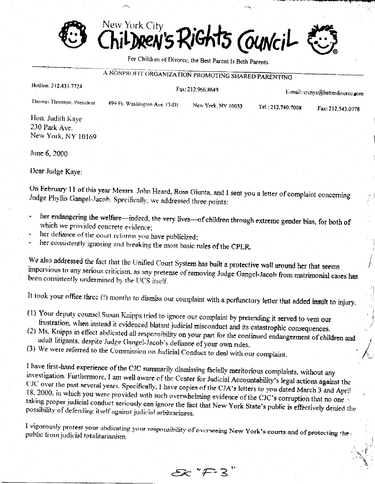New York City iGhts Council moen's.

For Children of Divorce, the Best Parent Is Both Parents

## A NONPROFIT ORGANIZATION PROMOTING SHARED PARENTING

| Hodine: 212.431.7724<br>Thomas Thornton, President | Fax: 212.966.8649                                                                                  |                    | E-mail: crenyc@betterdivorce.com |                   |
|----------------------------------------------------|----------------------------------------------------------------------------------------------------|--------------------|----------------------------------|-------------------|
|                                                    | 499 Ft. Washington Ave. (3-D)                                                                      | New York, NY 10033 | Tel.: 212.740.7008               | Fax: 212,543.0778 |
| Hon. Judith Kaye<br>230 Park Ave.                  | and the state of the state of the state of the state of the state of the state of the state of the |                    |                                  |                   |
| New York, NY 10169                                 |                                                                                                    |                    |                                  |                   |
| June 6, 2000                                       |                                                                                                    |                    |                                  |                   |

Dear Judge Kaye:

On February 11 of this year Messrs. John Heard, Ross Giunta, and I sent you a letter of complaint concerning Judge Phyllis Gangel-Jacob. Specifically, we addressed three points:

- her endangering the welfare-indeed, the very lives-of children through extreme gender bias, for both of which we provided concrete evidence;
- her defiance of the court reforms you have publicized;
- her consistently ignoring and breaking the most basic rules of the CPLR.

We also addressed the fact that the Unified Court System has built a protective wall around her that seems impervious to any serious criticism, as any pretense of removing Judge Gangel-Jacob from matrimonial cases has been consistently undermined by the UCS itself.

It took your office three (!) months to dismiss our complaint with a perfunctory letter that added insult to injury.

- (1) Your deputy counsel Susan Knipps tried to ignore our complaint by pretending it served to vent our frustration, when instead it evidenced blatant judicial misconduct and its catastrophic consequences.
- (2) Ms. Knipps in effect abdicated all responsibility on your part for the continued endangerment of children and adult litigants, despite Judge Gangel-Jacob's defiance of your own rules,
- (3) We were referred to the Commission on Judicial Conduct to deal with our complaint.

I have first-hand experience of the CJC summarily dismissing facially meritorious complaints, without any investigation. Furthermore, I am well aware of the Center for Judicial Accountability's legal actions against the CJC over the past several years. Specifically, I have copies of the CJA's letters to you dated March 3 and April

18, 2000, in which you were provided with such overwhelming evidence of the CJC's corruption that no one taking proper judicial conduct seriously can ignore the fact that New York State's public is effectively denied the possibility of defending itself against judicial arbitrariness.

I vigorously protest your abdicating your responsibility of overseeing New York's courts and of protecting the public from judicial totalitarianism.

 $Ex$  " $F-3$